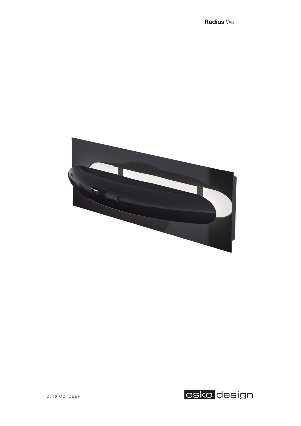